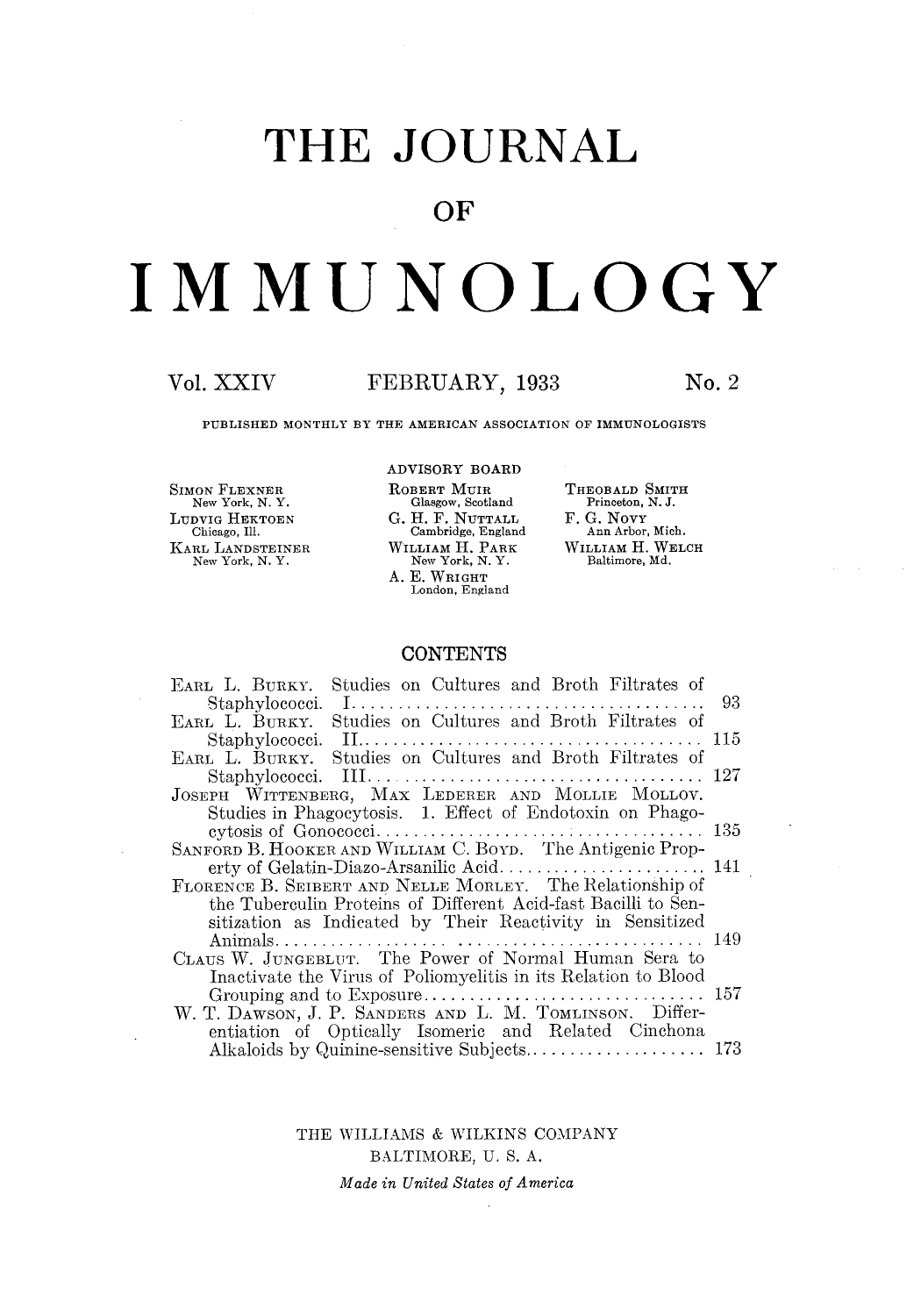## **THE JOURNAL**

### **OF**

# **IMMUNOLOGY**

### **Vol.** XXIV FEBRUARY, **1933 No. 2**

THEOBALD SMITH Princeton, N. J. **F. G.** NovY Ann Arbor, Mich. WILLIAM **H.** WELCH Baltimore, Md.

PUBLISHED MONTHLY BY THE AMERICAN ASSOCIATION OF IMMUNOLOGISTS

ADVISORY BOARD

SIMON FLEXNER New York, N. Y, LUDVIG HEKTOEN Chicago, Ill. KARL LANDSTEINER New York, N. Y.

 $\sim$ 

| ROBERT MUIR        |
|--------------------|
| Glasgow, Scotland  |
| G. H. F. NUTTALL   |
| Cambridge, England |
| William H. Park    |
| New York, N.Y.     |
| A. E. Wright       |
| London, England    |

### **CONTENTS**

| EARL L. BURKY. Studies on Cultures and Broth Filtrates of      |  |
|----------------------------------------------------------------|--|
|                                                                |  |
| EARL L. BURKY. Studies on Cultures and Broth Filtrates of      |  |
|                                                                |  |
| EARL L. BURKY. Studies on Cultures and Broth Filtrates of      |  |
|                                                                |  |
| JOSEPH WITTENBERG, MAX LEDERER AND MOLLIE MOLLOV.              |  |
| Studies in Phagocytosis. 1. Effect of Endotoxin on Phago-      |  |
|                                                                |  |
| SANFORD B. HOOKER AND WILLIAM C. BOYD. The Antigenic Prop-     |  |
|                                                                |  |
| FLORENCE B. SEIBERT AND NELLE MORLEY. The Relationship of      |  |
| the Tuberculin Proteins of Different Acid-fast Bacilli to Sen- |  |
| sitization as Indicated by Their Reactivity in Sensitized      |  |
|                                                                |  |
| CLAUS W. JUNGEBLUT. The Power of Normal Human Sera to          |  |
| Inactivate the Virus of Poliomyelitis in its Relation to Blood |  |
|                                                                |  |
| W. T. DAWSON, J. P. SANDERS AND L. M. TOMLINSON. Differ-       |  |
| entiation of Optically Isomeric and Related Cinchona           |  |
|                                                                |  |

THE WILLIAMS & WILKINS COMPANY BALTIMORE, U. S. A.

*Made in United States of America*